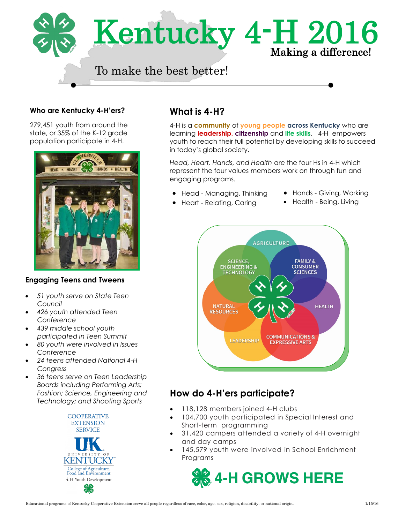

#### **Who are Kentucky 4-H'ers?**

279,451 youth from around the state, or 35% of the K-12 grade population participate in 4-H.



#### **Engaging Teens and Tweens**

- *51 youth serve on State Teen Council*
- *426 youth attended Teen Conference*
- *439 middle school youth participated in Teen Summit*
- *80 youth were involved in Issues Conference*
- *24 teens attended National 4-H Congress*
- *36 teens serve on Teen Leadership Boards including Performing Arts; Fashion; Science, Engineering and Technology; and Shooting Sports*



## **What is 4-H?**

4-H is a **community** of **young people across Kentucky** who are learning **leadership, citizenship** and **life skills**. 4-H empowers youth to reach their full potential by developing skills to succeed in today's global society.

*Head, Heart, Hands, and Health* are the four Hs in 4-H which represent the four values members work on through fun and engaging programs.

- Head Managing, Thinking
- Hands Giving, Working
- Heart Relating, Caring
- Health Being, Living



## **How do 4-H'ers participate?**

- 118,128 members joined 4-H clubs
- 104,700 youth participated in Special Interest and Short-term programming
- 31,420 campers attended a variety of 4-H overnight and day camps
- 145,579 youth were involved in School Enrichment Programs